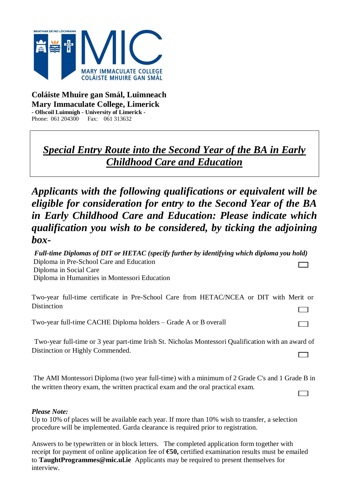

#### **Coláiste Mhuire gan Smál, Luimneach Mary Immaculate College, Limerick - Ollscoil Luimnígh - University of Limerick -** Phone: 061 204300 Fax: 061 313632

## *Special Entry Route into the Second Year of the BA in Early Childhood Care and Education*

*Applicants with the following qualifications or equivalent will be eligible for consideration for entry to the Second Year of the BA in Early Childhood Care and Education: Please indicate which qualification you wish to be considered, by ticking the adjoining box-*

*Full-time Diplomas of DIT or HETAC (specify further by identifying which diploma you hold)* Diploma in Pre-School Care and Education Diploma in Social Care Diploma in Humanities in Montessori Education

Two-year full-time certificate in Pre-School Care from HETAC/NCEA or DIT with Merit or Distinction <u>ranski po</u>

Two-year full-time CACHE Diploma holders – Grade A or B overall

Two-year full-time or 3 year part-time Irish St. Nicholas Montessori Qualification with an award of Distinction or Highly Commended.  $\sqrt{ }$ ᄀ

ᄀ

The AMI Montessori Diploma (two year full-time) with a minimum of 2 Grade C's and 1 Grade B in the written theory exam, the written practical exam and the oral practical exam.  $\Box$ 

#### *Please Note:*

Up to 10% of places will be available each year. If more than 10% wish to transfer, a selection procedure will be implemented. Garda clearance is required prior to registration.

Answers to be typewritten or in block letters. The completed application form together with receipt for payment of online application fee of **€50,** certified examination results must be emailed to **TaughtProgrammes@mic.ul.ie** Applicants may be required to present themselves for interview.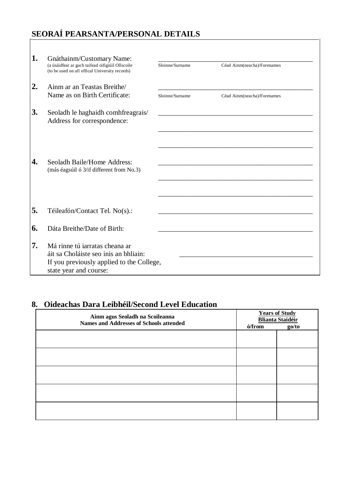# SEORAÍ PEARSANTA/PERSONAL DETAILS

| 1.               | Gnáthainm/Customary Name:<br>(a úsáidfear ar gach taifead oifigiúil Ollscoile<br>(to be used on all offical University records)                | Sloinne/Surname | Céad Ainm(neacha)/Forenames                               |
|------------------|------------------------------------------------------------------------------------------------------------------------------------------------|-----------------|-----------------------------------------------------------|
| $\overline{2}$ . | Ainm ar an Teastas Breithe/<br>Name as on Birth Certificate:                                                                                   | Sloinne/Surname | Céad Ainm(neacha)/Forenames                               |
| 3.               | Seoladh le haghaidh comhfreagrais/<br>Address for correspondence:                                                                              |                 | <u> 1980 - John Stein, Amerikaansk politiker (* 1900)</u> |
| 4.               | Seoladh Baile/Home Address:<br>(más éagsúil ó 3/if different from No.3)                                                                        |                 |                                                           |
| 5.               | Téileafón/Contact Tel. No(s).:                                                                                                                 |                 |                                                           |
| 6.               | Dáta Breithe/Date of Birth:                                                                                                                    |                 |                                                           |
| 7.               | Má rinne tú jarratas cheana ar<br>áit sa Choláiste seo inis an bhliain:<br>If you previously applied to the College,<br>state year and course: |                 |                                                           |

### 8. Oideachas Dara Leibhéil/Second Level Education

| Ainm agus Seoladh na Scoileanna<br><b>Names and Addresses of Schools attended</b> | <b>Years of Study</b><br><b>Blianta Staidéir</b> |       |  |
|-----------------------------------------------------------------------------------|--------------------------------------------------|-------|--|
|                                                                                   | ó/from                                           | go/to |  |
|                                                                                   |                                                  |       |  |
|                                                                                   |                                                  |       |  |
|                                                                                   |                                                  |       |  |
|                                                                                   |                                                  |       |  |
|                                                                                   |                                                  |       |  |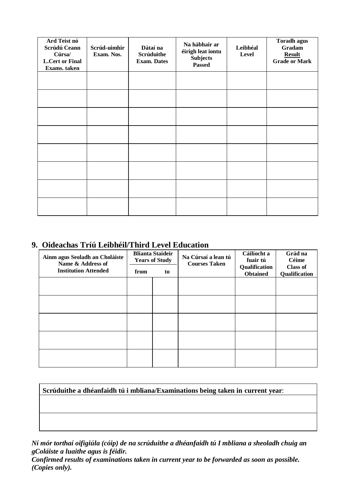| Ard Teist nó<br>Scrúdú Ceann<br>Cúrsa/<br><b>L.Cert or Final</b><br>Exams. taken | Scrúd-uimhir<br>Exam. Nos. | Dátaí na<br>Scrúduithe<br><b>Exam.</b> Dates | Na hábhair ar<br>éirigh leat iontu<br><b>Subjects</b><br><b>Passed</b> | Leibhéal<br>Level | <b>Toradh agus</b><br>Gradam<br><b>Result</b><br><b>Grade or Mark</b> |
|----------------------------------------------------------------------------------|----------------------------|----------------------------------------------|------------------------------------------------------------------------|-------------------|-----------------------------------------------------------------------|
|                                                                                  |                            |                                              |                                                                        |                   |                                                                       |
|                                                                                  |                            |                                              |                                                                        |                   |                                                                       |
|                                                                                  |                            |                                              |                                                                        |                   |                                                                       |
|                                                                                  |                            |                                              |                                                                        |                   |                                                                       |
|                                                                                  |                            |                                              |                                                                        |                   |                                                                       |
|                                                                                  |                            |                                              |                                                                        |                   |                                                                       |
|                                                                                  |                            |                                              |                                                                        |                   |                                                                       |
|                                                                                  |                            |                                              |                                                                        |                   |                                                                       |

#### **9. Oideachas Tríú Leibhéil/Third Level Education**

| Ainm agus Seoladh an Choláiste<br>Name & Address of | <b>Blianta Staideir</b><br><b>Years of Study</b> |    | Na Cúrsaí a lean tú<br><b>Courses Taken</b> | Cáilíocht a<br>fuair tú          | Grád na<br>Céime                 |
|-----------------------------------------------------|--------------------------------------------------|----|---------------------------------------------|----------------------------------|----------------------------------|
| <b>Institution Attended</b>                         | from                                             | to |                                             | Qualification<br><b>Obtained</b> | <b>Class of</b><br>Qualification |
|                                                     |                                                  |    |                                             |                                  |                                  |
|                                                     |                                                  |    |                                             |                                  |                                  |
|                                                     |                                                  |    |                                             |                                  |                                  |
|                                                     |                                                  |    |                                             |                                  |                                  |
|                                                     |                                                  |    |                                             |                                  |                                  |
|                                                     |                                                  |    |                                             |                                  |                                  |

**Scrúduithe a dhéanfaidh tú i mbliana/Examinations being taken in current year**:

*Ní mór torthaí oifigiúla (cóip) de na scrúduithe a dhéanfaidh tú I mbliana a sheoladh chuig an gColáiste a luaithe agus is féidir.*

*Confirmed results of examinations taken in current year to be forwarded as soon as possible. (Copies only).*